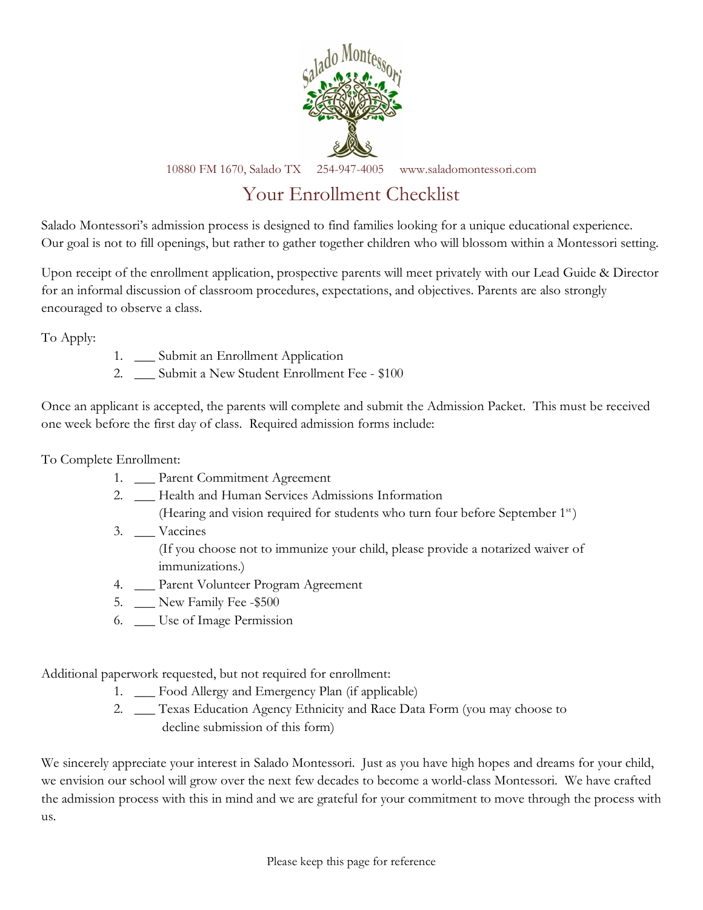

# Your Enrollment Checklist

Salado Montessori's admission process is designed to find families looking for a unique educational experience. Our goal is not to fill openings, but rather to gather together children who will blossom within a Montessori setting.

Upon receipt of the enrollment application, prospective parents will meet privately with our Lead Guide & Director for an informal discussion of classroom procedures, expectations, and objectives. Parents are also strongly encouraged to observe a class.

To Apply:

- 1. \_\_\_ Submit an Enrollment Application
- 2. \_\_ Submit a New Student Enrollment Fee \$100

Once an applicant is accepted, the parents will complete and submit the Admission Packet. This must be received one week before the first day of class. Required admission forms include:

To Complete Enrollment:

- 1. \_\_\_ Parent Commitment Agreement
- 2. \_\_\_ Health and Human Services Admissions Information
	- (Hearing and vision required for students who turn four before September  $1<sup>st</sup>$ )
- 3. \_\_\_ Vaccines

 (If you choose not to immunize your child, please provide a notarized waiver of immunizations.)

- 4. \_\_\_ Parent Volunteer Program Agreement
- 5. \_\_\_ New Family Fee -\$500
- 6. \_\_\_ Use of Image Permission

Additional paperwork requested, but not required for enrollment:

- 1. \_\_\_ Food Allergy and Emergency Plan (if applicable)
- 2. \_\_\_ Texas Education Agency Ethnicity and Race Data Form (you may choose to decline submission of this form)

We sincerely appreciate your interest in Salado Montessori. Just as you have high hopes and dreams for your child, we envision our school will grow over the next few decades to become a world-class Montessori. We have crafted the admission process with this in mind and we are grateful for your commitment to move through the process with us.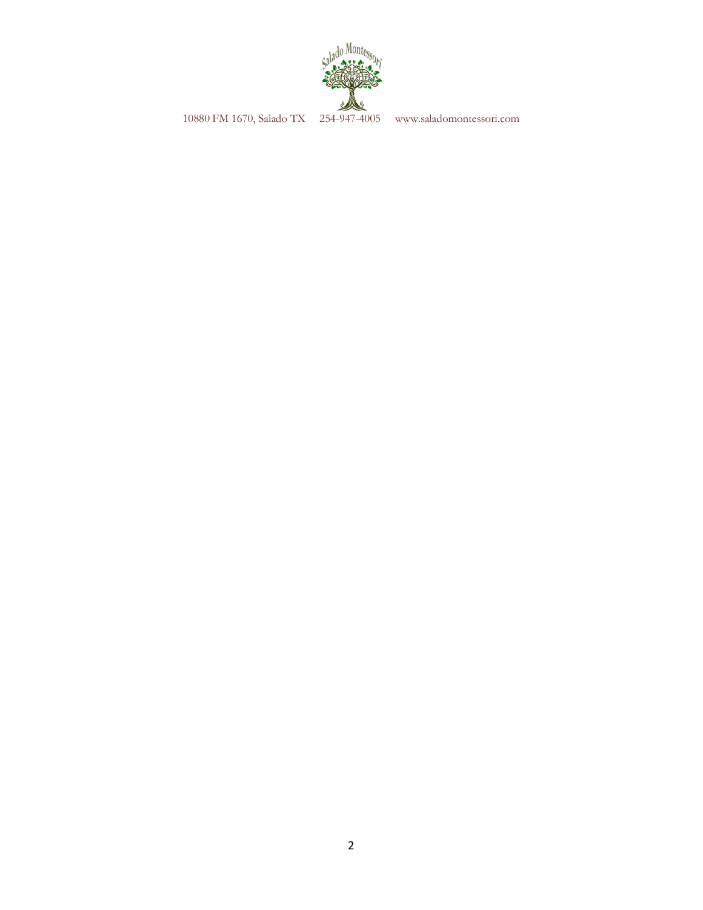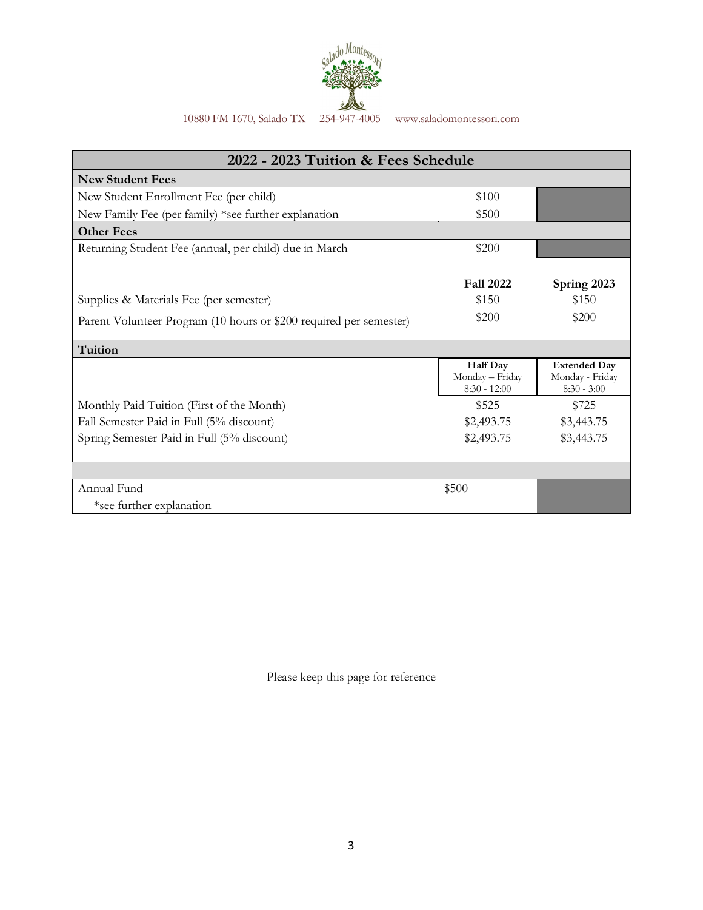

| 2022 - 2023 Tuition & Fees Schedule                                |                                                      |                                                         |  |
|--------------------------------------------------------------------|------------------------------------------------------|---------------------------------------------------------|--|
| <b>New Student Fees</b>                                            |                                                      |                                                         |  |
| New Student Enrollment Fee (per child)                             | \$100                                                |                                                         |  |
| New Family Fee (per family) *see further explanation               | \$500                                                |                                                         |  |
| <b>Other Fees</b>                                                  |                                                      |                                                         |  |
| Returning Student Fee (annual, per child) due in March             | \$200                                                |                                                         |  |
|                                                                    |                                                      |                                                         |  |
|                                                                    | <b>Fall 2022</b>                                     | Spring 2023                                             |  |
| Supplies & Materials Fee (per semester)                            | \$150                                                | \$150                                                   |  |
| Parent Volunteer Program (10 hours or \$200 required per semester) | \$200                                                | \$200                                                   |  |
| Tuition                                                            |                                                      |                                                         |  |
|                                                                    | <b>Half Day</b><br>Monday - Friday<br>$8:30 - 12:00$ | <b>Extended Day</b><br>Monday - Friday<br>$8:30 - 3:00$ |  |
| Monthly Paid Tuition (First of the Month)                          | \$525                                                | \$725                                                   |  |
| Fall Semester Paid in Full (5% discount)                           | \$2,493.75                                           | \$3,443.75                                              |  |
| Spring Semester Paid in Full (5% discount)                         | \$2,493.75                                           | \$3,443.75                                              |  |
|                                                                    |                                                      |                                                         |  |
| Annual Fund                                                        | \$500                                                |                                                         |  |
| *see further explanation                                           |                                                      |                                                         |  |

Please keep this page for reference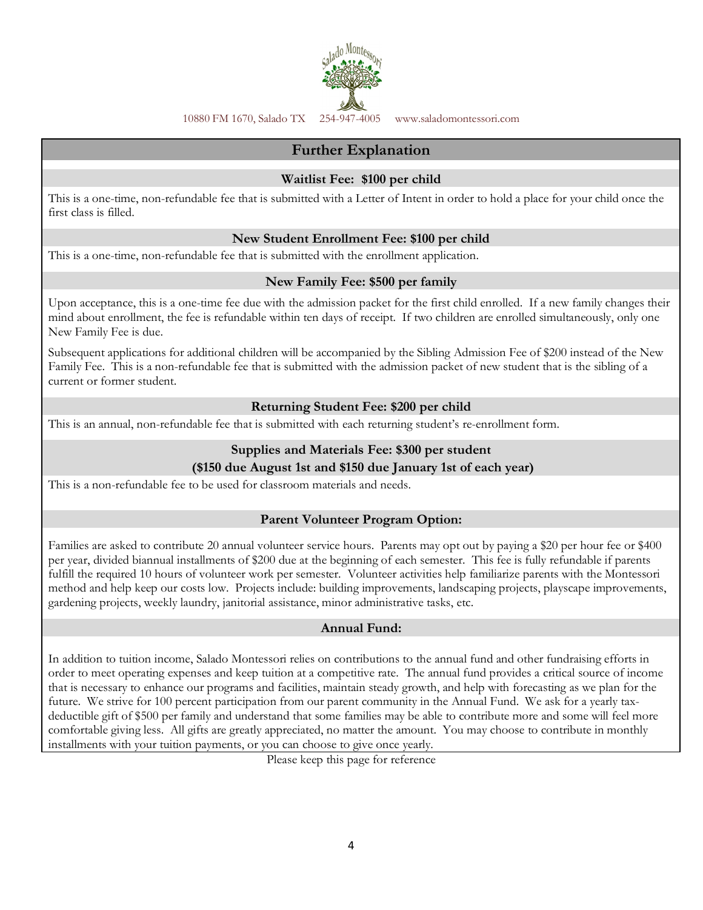

# **Further Explanation**

## **Waitlist Fee: \$100 per child**

This is a one-time, non-refundable fee that is submitted with a Letter of Intent in order to hold a place for your child once the first class is filled.

#### **New Student Enrollment Fee: \$100 per child**

This is a one-time, non-refundable fee that is submitted with the enrollment application.

## **New Family Fee: \$500 per family**

Upon acceptance, this is a one-time fee due with the admission packet for the first child enrolled. If a new family changes their mind about enrollment, the fee is refundable within ten days of receipt. If two children are enrolled simultaneously, only one New Family Fee is due.

Subsequent applications for additional children will be accompanied by the Sibling Admission Fee of \$200 instead of the New Family Fee. This is a non-refundable fee that is submitted with the admission packet of new student that is the sibling of a current or former student.

## **Returning Student Fee: \$200 per child**

This is an annual, non-refundable fee that is submitted with each returning student's re-enrollment form.

## **Supplies and Materials Fee: \$300 per student**

## **(\$150 due August 1st and \$150 due January 1st of each year)**

This is a non-refundable fee to be used for classroom materials and needs.

#### **Parent Volunteer Program Option:**

Families are asked to contribute 20 annual volunteer service hours. Parents may opt out by paying a \$20 per hour fee or \$400 per year, divided biannual installments of \$200 due at the beginning of each semester. This fee is fully refundable if parents fulfill the required 10 hours of volunteer work per semester. Volunteer activities help familiarize parents with the Montessori method and help keep our costs low. Projects include: building improvements, landscaping projects, playscape improvements, gardening projects, weekly laundry, janitorial assistance, minor administrative tasks, etc.

#### **Annual Fund:**

In addition to tuition income, Salado Montessori relies on contributions to the annual fund and other fundraising efforts in order to meet operating expenses and keep tuition at a competitive rate. The annual fund provides a critical source of income that is necessary to enhance our programs and facilities, maintain steady growth, and help with forecasting as we plan for the future. We strive for 100 percent participation from our parent community in the Annual Fund. We ask for a yearly taxdeductible gift of \$500 per family and understand that some families may be able to contribute more and some will feel more comfortable giving less. All gifts are greatly appreciated, no matter the amount. You may choose to contribute in monthly installments with your tuition payments, or you can choose to give once yearly.

Please keep this page for reference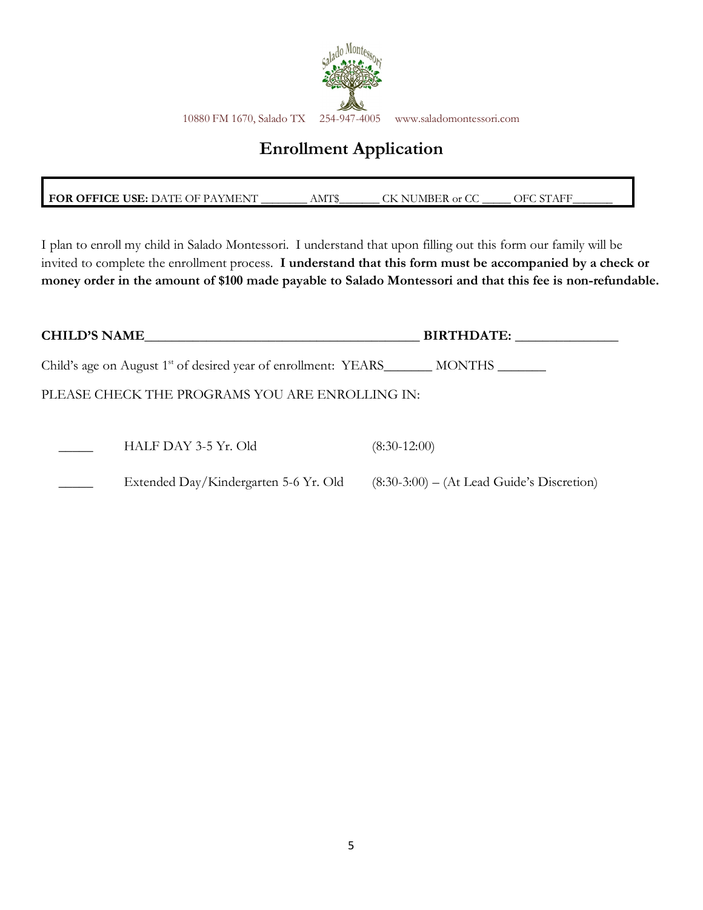

# **Enrollment Application**

FOR OFFICE USE: DATE OF PAYMENT \_\_\_\_\_\_\_\_\_ AMT\$\_\_\_\_\_\_\_ CK NUMBER or CC \_\_\_\_\_ OFC STAFF

I plan to enroll my child in Salado Montessori. I understand that upon filling out this form our family will be invited to complete the enrollment process. **I understand that this form must be accompanied by a check or money order in the amount of \$100 made payable to Salado Montessori and that this fee is non-refundable.** 

| <b>CHILD'S NAME</b>                             |                                                                                                    | BIRTHDATE:                                   |  |  |
|-------------------------------------------------|----------------------------------------------------------------------------------------------------|----------------------------------------------|--|--|
|                                                 | Child's age on August 1 <sup>st</sup> of desired year of enrollment: YEARS_________ MONTHS _______ |                                              |  |  |
| PLEASE CHECK THE PROGRAMS YOU ARE ENROLLING IN: |                                                                                                    |                                              |  |  |
|                                                 |                                                                                                    |                                              |  |  |
|                                                 | HALF DAY 3-5 Yr. Old                                                                               | $(8:30-12:00)$                               |  |  |
|                                                 | Extended Day/Kindergarten 5-6 Yr. Old                                                              | $(8:30-3:00) - (At Lead Guide's Discretion)$ |  |  |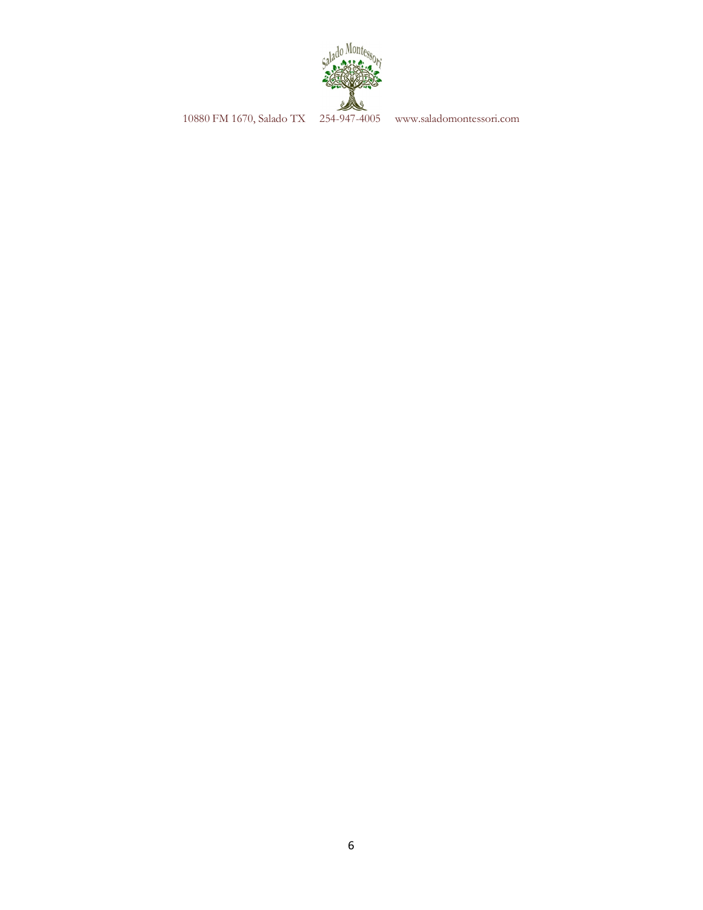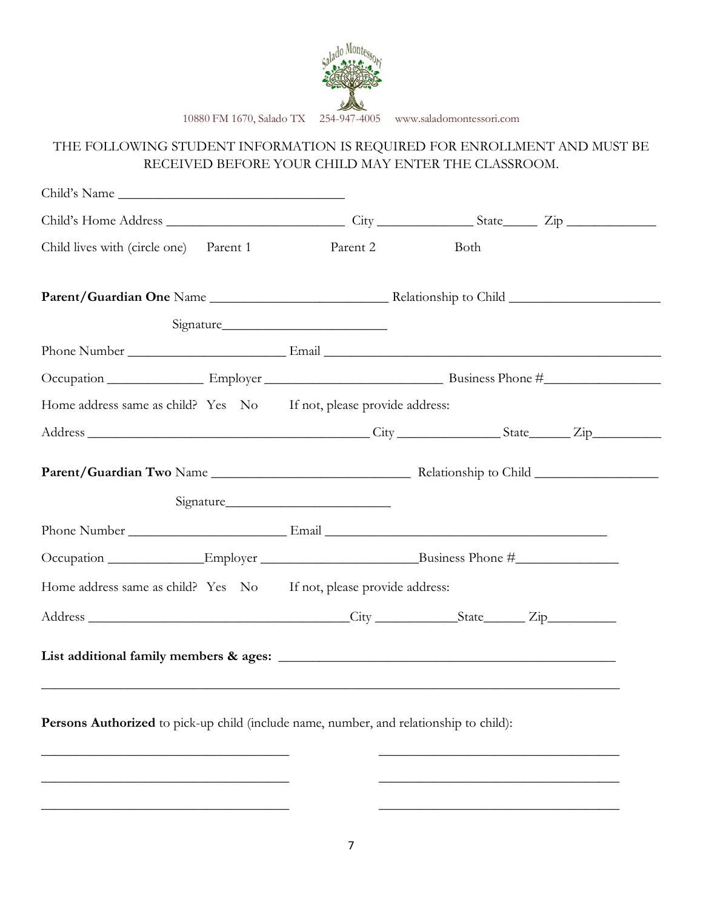

# THE FOLLOWING STUDENT INFORMATION IS REQUIRED FOR ENROLLMENT AND MUST BE RECEIVED BEFORE YOUR CHILD MAY ENTER THE CLASSROOM.

| Child's Name                                                                           |          |      |
|----------------------------------------------------------------------------------------|----------|------|
|                                                                                        |          |      |
| Child lives with (circle one)<br>Parent 1                                              | Parent 2 | Both |
|                                                                                        |          |      |
|                                                                                        |          |      |
|                                                                                        |          |      |
|                                                                                        |          |      |
| Home address same as child? Yes No If not, please provide address:                     |          |      |
|                                                                                        |          |      |
|                                                                                        |          |      |
|                                                                                        |          |      |
|                                                                                        |          |      |
|                                                                                        |          |      |
| Home address same as child? Yes No If not, please provide address:                     |          |      |
|                                                                                        |          |      |
| List additional family members & ages:                                                 |          |      |
| Persons Authorized to pick-up child (include name, number, and relationship to child): |          |      |

 $\overline{\phantom{a}}$  , and the contract of the contract of the contract of the contract of the contract of the contract of the contract of the contract of the contract of the contract of the contract of the contract of the contrac

 $\overline{\phantom{a}}$  , and the contract of the contract of the contract of the contract of the contract of the contract of the contract of the contract of the contract of the contract of the contract of the contract of the contrac

 $\overline{\phantom{a}}$  , and the contract of the contract of the contract of the contract of the contract of the contract of the contract of the contract of the contract of the contract of the contract of the contract of the contrac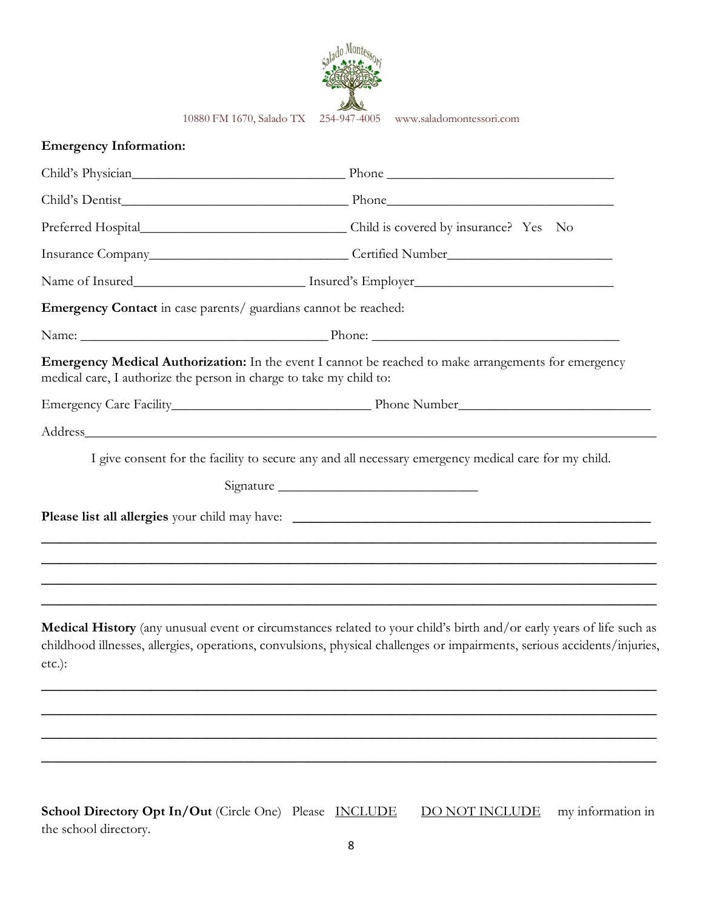

# **Emergency Information:**

| Emergency Contact in case parents/ guardians cannot be reached:                                                                                                                                                                |                                                                                                                                                                                                                                                  |  |  |  |
|--------------------------------------------------------------------------------------------------------------------------------------------------------------------------------------------------------------------------------|--------------------------------------------------------------------------------------------------------------------------------------------------------------------------------------------------------------------------------------------------|--|--|--|
|                                                                                                                                                                                                                                |                                                                                                                                                                                                                                                  |  |  |  |
| medical care, I authorize the person in charge to take my child to:                                                                                                                                                            | Emergency Medical Authorization: In the event I cannot be reached to make arrangements for emergency                                                                                                                                             |  |  |  |
|                                                                                                                                                                                                                                |                                                                                                                                                                                                                                                  |  |  |  |
| Address and the contract of the contract of the contract of the contract of the contract of the contract of the contract of the contract of the contract of the contract of the contract of the contract of the contract of th |                                                                                                                                                                                                                                                  |  |  |  |
|                                                                                                                                                                                                                                | I give consent for the facility to secure any and all necessary emergency medical care for my child.                                                                                                                                             |  |  |  |
|                                                                                                                                                                                                                                | Signature                                                                                                                                                                                                                                        |  |  |  |
|                                                                                                                                                                                                                                |                                                                                                                                                                                                                                                  |  |  |  |
|                                                                                                                                                                                                                                |                                                                                                                                                                                                                                                  |  |  |  |
|                                                                                                                                                                                                                                |                                                                                                                                                                                                                                                  |  |  |  |
|                                                                                                                                                                                                                                | ,我们也不能会有什么。""我们的人,我们也不能会有什么?""我们的人,我们也不能会有什么?""我们的人,我们也不能会有什么?""我们的人,我们也不能会有什么?""                                                                                                                                                                |  |  |  |
| $etc.$ ):                                                                                                                                                                                                                      | Medical History (any unusual event or circumstances related to your child's birth and/or early years of life such as<br>childhood illnesses, allergies, operations, convulsions, physical challenges or impairments, serious accidents/injuries, |  |  |  |
|                                                                                                                                                                                                                                |                                                                                                                                                                                                                                                  |  |  |  |
|                                                                                                                                                                                                                                |                                                                                                                                                                                                                                                  |  |  |  |
|                                                                                                                                                                                                                                |                                                                                                                                                                                                                                                  |  |  |  |

**School Directory Opt In/Out** (Circle One) Please **INCLUDE** DO NOT INCLUDE my information in the school directory.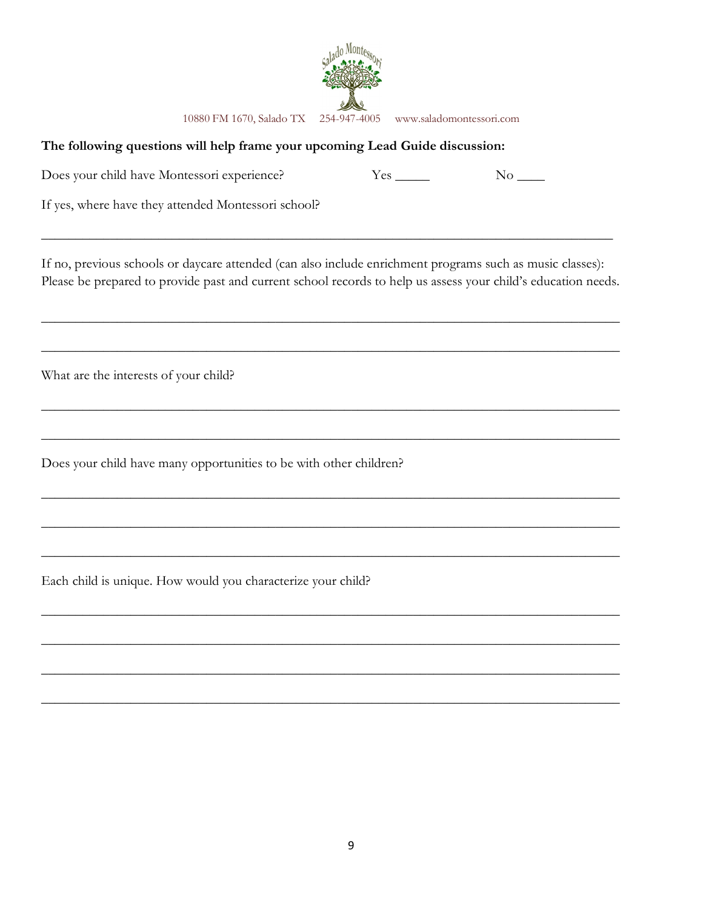

# **The following questions will help frame your upcoming Lead Guide discussion:**

| Does your child have Montessori experience? | Yes: |  |
|---------------------------------------------|------|--|
|---------------------------------------------|------|--|

If yes, where have they attended Montessori school?

If no, previous schools or daycare attended (can also include enrichment programs such as music classes): Please be prepared to provide past and current school records to help us assess your child's education needs.

\_\_\_\_\_\_\_\_\_\_\_\_\_\_\_\_\_\_\_\_\_\_\_\_\_\_\_\_\_\_\_\_\_\_\_\_\_\_\_\_\_\_\_\_\_\_\_\_\_\_\_\_\_\_\_\_\_\_\_\_\_\_\_\_\_\_\_\_\_\_\_\_\_\_\_\_\_\_\_\_\_\_\_\_

\_\_\_\_\_\_\_\_\_\_\_\_\_\_\_\_\_\_\_\_\_\_\_\_\_\_\_\_\_\_\_\_\_\_\_\_\_\_\_\_\_\_\_\_\_\_\_\_\_\_\_\_\_\_\_\_\_\_\_\_\_\_\_\_\_\_\_\_\_\_\_\_\_\_\_\_\_\_\_\_\_\_\_\_

\_\_\_\_\_\_\_\_\_\_\_\_\_\_\_\_\_\_\_\_\_\_\_\_\_\_\_\_\_\_\_\_\_\_\_\_\_\_\_\_\_\_\_\_\_\_\_\_\_\_\_\_\_\_\_\_\_\_\_\_\_\_\_\_\_\_\_\_\_\_\_\_\_\_\_\_\_\_\_\_\_\_\_\_

\_\_\_\_\_\_\_\_\_\_\_\_\_\_\_\_\_\_\_\_\_\_\_\_\_\_\_\_\_\_\_\_\_\_\_\_\_\_\_\_\_\_\_\_\_\_\_\_\_\_\_\_\_\_\_\_\_\_\_\_\_\_\_\_\_\_\_\_\_\_\_\_\_\_\_\_\_\_\_\_\_\_\_\_

\_\_\_\_\_\_\_\_\_\_\_\_\_\_\_\_\_\_\_\_\_\_\_\_\_\_\_\_\_\_\_\_\_\_\_\_\_\_\_\_\_\_\_\_\_\_\_\_\_\_\_\_\_\_\_\_\_\_\_\_\_\_\_\_\_\_\_\_\_\_\_\_\_\_\_\_\_\_\_\_\_\_\_\_

\_\_\_\_\_\_\_\_\_\_\_\_\_\_\_\_\_\_\_\_\_\_\_\_\_\_\_\_\_\_\_\_\_\_\_\_\_\_\_\_\_\_\_\_\_\_\_\_\_\_\_\_\_\_\_\_\_\_\_\_\_\_\_\_\_\_\_\_\_\_\_\_\_\_\_\_\_\_\_\_\_\_\_\_

\_\_\_\_\_\_\_\_\_\_\_\_\_\_\_\_\_\_\_\_\_\_\_\_\_\_\_\_\_\_\_\_\_\_\_\_\_\_\_\_\_\_\_\_\_\_\_\_\_\_\_\_\_\_\_\_\_\_\_\_\_\_\_\_\_\_\_\_\_\_\_\_\_\_\_\_\_\_\_\_\_\_\_\_

\_\_\_\_\_\_\_\_\_\_\_\_\_\_\_\_\_\_\_\_\_\_\_\_\_\_\_\_\_\_\_\_\_\_\_\_\_\_\_\_\_\_\_\_\_\_\_\_\_\_\_\_\_\_\_\_\_\_\_\_\_\_\_\_\_\_\_\_\_\_\_\_\_\_\_\_\_\_\_\_\_\_\_\_

\_\_\_\_\_\_\_\_\_\_\_\_\_\_\_\_\_\_\_\_\_\_\_\_\_\_\_\_\_\_\_\_\_\_\_\_\_\_\_\_\_\_\_\_\_\_\_\_\_\_\_\_\_\_\_\_\_\_\_\_\_\_\_\_\_\_\_\_\_\_\_\_\_\_\_\_\_\_\_\_\_\_\_\_

\_\_\_\_\_\_\_\_\_\_\_\_\_\_\_\_\_\_\_\_\_\_\_\_\_\_\_\_\_\_\_\_\_\_\_\_\_\_\_\_\_\_\_\_\_\_\_\_\_\_\_\_\_\_\_\_\_\_\_\_\_\_\_\_\_\_\_\_\_\_\_\_\_\_\_\_\_\_\_\_\_\_\_\_

\_\_\_\_\_\_\_\_\_\_\_\_\_\_\_\_\_\_\_\_\_\_\_\_\_\_\_\_\_\_\_\_\_\_\_\_\_\_\_\_\_\_\_\_\_\_\_\_\_\_\_\_\_\_\_\_\_\_\_\_\_\_\_\_\_\_\_\_\_\_\_\_\_\_\_\_\_\_\_\_\_\_\_\_

\_\_\_\_\_\_\_\_\_\_\_\_\_\_\_\_\_\_\_\_\_\_\_\_\_\_\_\_\_\_\_\_\_\_\_\_\_\_\_\_\_\_\_\_\_\_\_\_\_\_\_\_\_\_\_\_\_\_\_\_\_\_\_\_\_\_\_\_\_\_\_\_\_\_\_\_\_\_\_\_\_\_\_

What are the interests of your child?

Does your child have many opportunities to be with other children?

Each child is unique. How would you characterize your child?